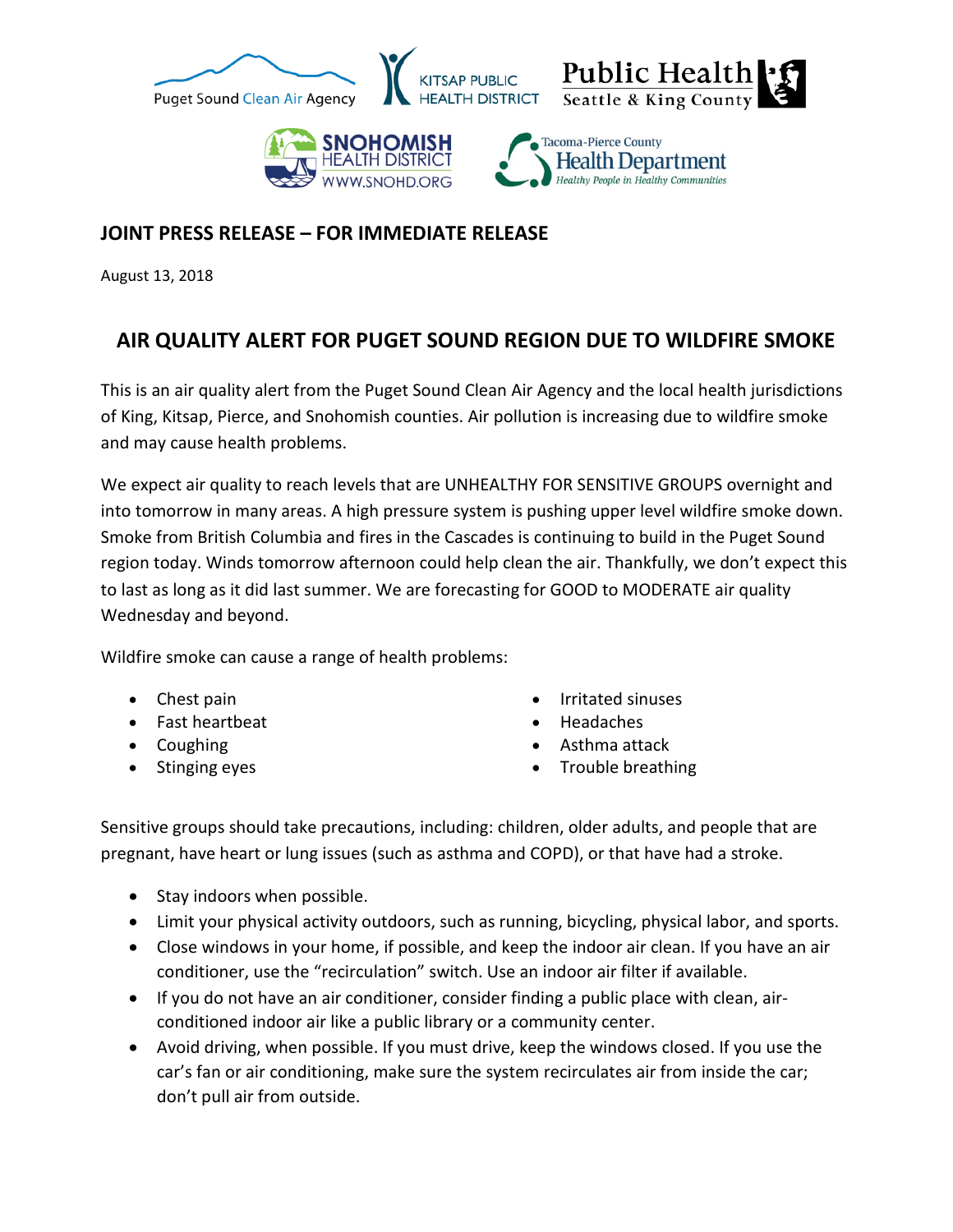

## **JOINT PRESS RELEASE – FOR IMMEDIATE RELEASE**

August 13, 2018

## **AIR QUALITY ALERT FOR PUGET SOUND REGION DUE TO WILDFIRE SMOKE**

This is an air quality alert from the Puget Sound Clean Air Agency and the local health jurisdictions of King, Kitsap, Pierce, and Snohomish counties. Air pollution is increasing due to wildfire smoke and may cause health problems.

We expect air quality to reach levels that are UNHEALTHY FOR SENSITIVE GROUPS overnight and into tomorrow in many areas. A high pressure system is pushing upper level wildfire smoke down. Smoke from British Columbia and fires in the Cascades is continuing to build in the Puget Sound region today. Winds tomorrow afternoon could help clean the air. Thankfully, we don't expect this to last as long as it did last summer. We are forecasting for GOOD to MODERATE air quality Wednesday and beyond.

Wildfire smoke can cause a range of health problems:

- Chest pain
- Fast heartbeat
- Coughing
- Stinging eyes
- Irritated sinuses
- Headaches
- Asthma attack
- Trouble breathing

Sensitive groups should take precautions, including: children, older adults, and people that are pregnant, have heart or lung issues (such as asthma and COPD), or that have had a stroke.

- Stay indoors when possible.
- Limit your physical activity outdoors, such as running, bicycling, physical labor, and sports.
- Close windows in your home, if possible, and keep the indoor air clean. If you have an air conditioner, use the "recirculation" switch. Use an indoor air filter if available.
- If you do not have an air conditioner, consider finding a public place with clean, airconditioned indoor air like a public library or a community center.
- Avoid driving, when possible. If you must drive, keep the windows closed. If you use the car's fan or air conditioning, make sure the system recirculates air from inside the car; don't pull air from outside.